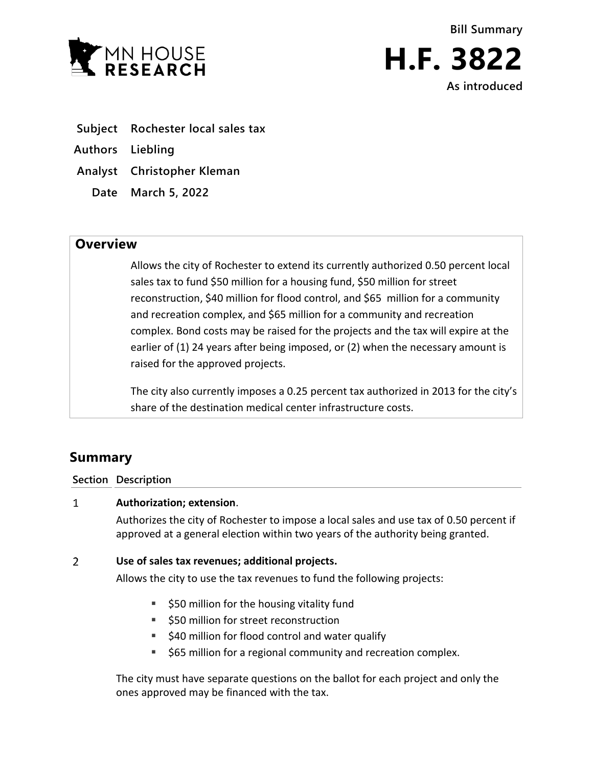



- **Subject Rochester local sales tax**
- **Authors Liebling**
- **Analyst Christopher Kleman**
	- **Date March 5, 2022**

## **Overview**

Allows the city of Rochester to extend its currently authorized 0.50 percent local sales tax to fund \$50 million for a housing fund, \$50 million for street reconstruction, \$40 million for flood control, and \$65 million for a community and recreation complex, and \$65 million for a community and recreation complex. Bond costs may be raised for the projects and the tax will expire at the earlier of (1) 24 years after being imposed, or (2) when the necessary amount is raised for the approved projects.

The city also currently imposes a 0.25 percent tax authorized in 2013 for the city's share of the destination medical center infrastructure costs.

# **Summary**

**Section Description**

#### $\mathbf{1}$ **Authorization; extension**.

Authorizes the city of Rochester to impose a local sales and use tax of 0.50 percent if approved at a general election within two years of the authority being granted.

#### $\overline{2}$ **Use of sales tax revenues; additional projects.**

Allows the city to use the tax revenues to fund the following projects:

- $\overline{\phantom{a}}$  \$50 million for the housing vitality fund
- **550 million for street reconstruction**
- $\blacksquare$  \$40 million for flood control and water qualify
- **565 million for a regional community and recreation complex.**

The city must have separate questions on the ballot for each project and only the ones approved may be financed with the tax.